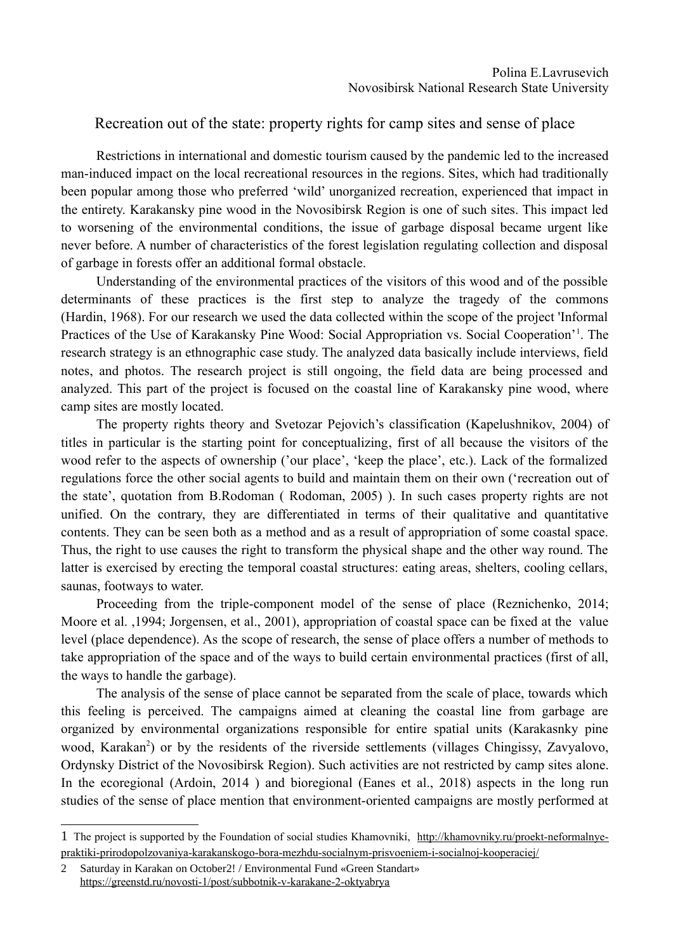## Recreation out of the state: property rights for camp sites and sense of place

Restrictions in international and domestic tourism caused by the pandemic led to the increased man-induced impact on the local recreational resources in the regions. Sites, which had traditionally been popular among those who preferred 'wild' unorganized recreation, experienced that impact in the entirety. Karakansky pine wood in the Novosibirsk Region is one of such sites. This impact led to worsening of the environmental conditions, the issue of garbage disposal became urgent like never before. A number of characteristics of the forest legislation regulating collection and disposal of garbage in forests offer an additional formal obstacle.

Understanding of the environmental practices of the visitors of this wood and of the possible determinants of these practices is the first step to analyze the tragedy of the commons [\(Hardin,](https://www.elibrary.ru/author_items.asp?refid=536975963&fam=Hardin&init=G) 1968). For our research we used the data collected within the scope of the project 'Informal Practices of the Use of Karakansky Pine Wood: Social Appropriation vs. Social Cooperation<sup>2[1](#page-0-0)</sup>. The research strategy is an ethnographic case study. The analyzed data basically include interviews, field notes, and photos. The research project is still ongoing, the field data are being processed and analyzed. This part of the project is focused on the coastal line of Karakansky pine wood, where camp sites are mostly located.

The property rights theory and Svetozar Pejovich's classification (Kapelushnikov, 2004) of titles in particular is the starting point for conceptualizing, first of all because the visitors of the wood refer to the aspects of ownership ('our place', 'keep the place', etc.). Lack of the formalized regulations force the other social agents to build and maintain them on their own ('recreation out of the state', quotation from B.Rodoman ( Rodoman, 2005) ). In such cases property rights are not unified. On the contrary, they are differentiated in terms of their qualitative and quantitative contents. They can be seen both as a method and as a result of appropriation of some coastal space. Thus, the right to use causes the right to transform the physical shape and the other way round. The latter is exercised by erecting the temporal coastal structures: eating areas, shelters, cooling cellars, saunas, footways to water.

Proceeding from the triple-component model of the sense of place (Reznichenko, 2014; Moore et al. ,1994; Jorgensen, et al., 2001), appropriation of coastal space can be fixed at the value level (place dependence). As the scope of research, the sense of place offers a number of methods to take appropriation of the space and of the ways to build certain environmental practices (first of all, the ways to handle the garbage).

The analysis of the sense of place cannot be separated from the scale of place, towards which this feeling is perceived. The campaigns aimed at cleaning the coastal line from garbage are organized by environmental organizations responsible for entire spatial units (Karakasnky pine wood, Karakan<sup>[2](#page-0-1)</sup>) or by the residents of the riverside settlements (villages Chingissy, Zavyalovo, Ordynsky District of the Novosibirsk Region). Such activities are not restricted by camp sites alone. In the ecoregional (Ardoin, 2014) and bioregional (Eanes et al., 2018) aspects in the long run studies of the sense of place mention that environment-oriented campaigns are mostly performed at

<span id="page-0-0"></span><sup>1</sup> The project is supported by the Foundation of social studies Khamovniki, [http://khamovniky.ru/proekt-neformalnye](http://khamovniky.ru/proekt-neformalnye-praktiki-prirodopolzovaniya-karakanskogo-bora-mezhdu-socialnym-prisvoeniem-i-socialnoj-kooperaciej/)[praktiki-prirodopolzovaniya-karakanskogo-bora-mezhdu-socialnym-prisvoeniem-i-socialnoj-kooperaciej/](http://khamovniky.ru/proekt-neformalnye-praktiki-prirodopolzovaniya-karakanskogo-bora-mezhdu-socialnym-prisvoeniem-i-socialnoj-kooperaciej/)

<span id="page-0-1"></span><sup>2</sup> Saturday in Karakan on October2! / Environmental Fund «Green Standart» <https://greenstd.ru/novosti-1/post/subbotnik-v-karakane-2-oktyabrya>